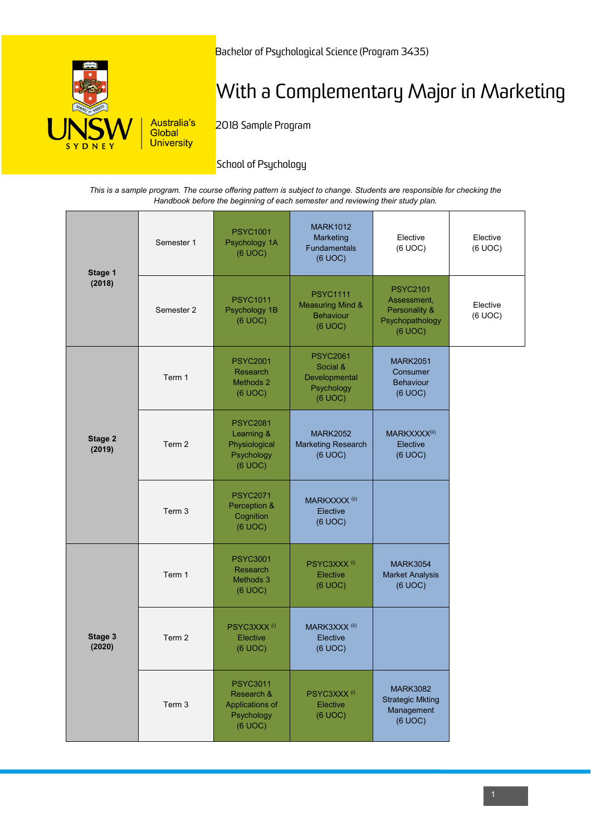

Bachelor of Psychological Science (Program 3435)

# With a Complementary Major in Marketing

2018 Sample Program

## **School of Psychology**

*This is a sample program. The course offering pattern is subject to change. Students are responsible for checking the Handbook before the beginning of each semester and reviewing their study plan.*

| Stage 1<br>(2018) | Semester 1 | <b>PSYC1001</b><br>Psychology 1A<br>(6 UOC)                               | <b>MARK1012</b><br>Marketing<br><b>Fundamentals</b><br>(6 UOC)                | Elective<br>(6 UOC)                                                           | Elective<br>(6 UOC) |
|-------------------|------------|---------------------------------------------------------------------------|-------------------------------------------------------------------------------|-------------------------------------------------------------------------------|---------------------|
|                   | Semester 2 | <b>PSYC1011</b><br>Psychology 1B<br>(6 UOC)                               | <b>PSYC1111</b><br><b>Measuring Mind &amp;</b><br><b>Behaviour</b><br>(6 UOC) | <b>PSYC2101</b><br>Assessment,<br>Personality &<br>Psychopathology<br>(6 UOC) | Elective<br>(6 UOC) |
| Stage 2<br>(2019) | Term 1     | <b>PSYC2001</b><br>Research<br>Methods 2<br>(6 UOC)                       | <b>PSYC2061</b><br>Social &<br>Developmental<br>Psychology<br>(6 UOC)         | <b>MARK2051</b><br>Consumer<br><b>Behaviour</b><br>(6 UOC)                    |                     |
|                   | Term 2     | <b>PSYC2081</b><br>Learning &<br>Physiological<br>Psychology<br>(6 UOC)   | <b>MARK2052</b><br><b>Marketing Research</b><br>(6 UOC)                       | MARKXXXX(ii)<br>Elective<br>(6 UOC)                                           |                     |
|                   | Term 3     | <b>PSYC2071</b><br>Perception &<br>Cognition<br>(6 UOC)                   | MARKXXXX <sup>(ii)</sup><br>Elective<br>(6 UOC)                               |                                                                               |                     |
| Stage 3<br>(2020) | Term 1     | <b>PSYC3001</b><br>Research<br>Methods 3<br>(6 UOC)                       | PSYC3XXX <sup>(i)</sup><br>Elective<br>(6 UOC)                                | <b>MARK3054</b><br><b>Market Analysis</b><br>(6 UOC)                          |                     |
|                   | Term 2     | PSYC3XXX <sup>(i)</sup><br>Elective<br>(6 UOC)                            | MARK3XXX <sup>(ii)</sup><br>Elective<br>(6 UOC)                               |                                                                               |                     |
|                   | Term 3     | <b>PSYC3011</b><br>Research &<br>Applications of<br>Psychology<br>(6 UOC) | PSYC3XXX <sup>(i)</sup><br>Elective<br>(6 UOC)                                | <b>MARK3082</b><br><b>Strategic Mkting</b><br>Management<br>(6 UOC)           |                     |